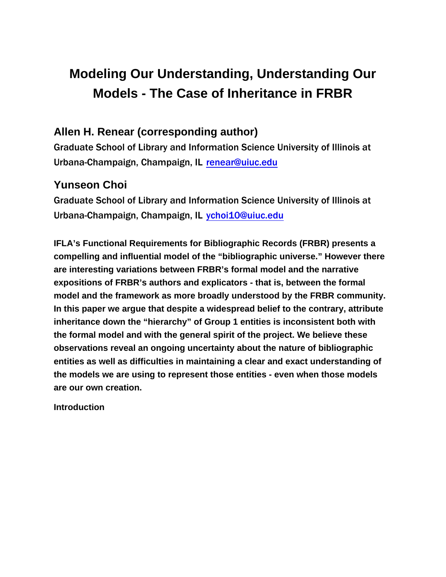# **Modeling Our Understanding, Understanding Our Models - The Case of Inheritance in FRBR**

# **Allen H. Renear (corresponding author)**

Graduate School of Library and Information Science University of Illinois at Urbana-Champaign, Champaign, IL renear@uiuc.edu

## **Yunseon Choi**

Graduate School of Library and Information Science University of Illinois at Urbana-Champaign, Champaign, IL ychoi10@uiuc.edu

**IFLA's Functional Requirements for Bibliographic Records (FRBR) presents a compelling and influential model of the "bibliographic universe." However there are interesting variations between FRBR's formal model and the narrative expositions of FRBR's authors and explicators - that is, between the formal model and the framework as more broadly understood by the FRBR community. In this paper we argue that despite a widespread belief to the contrary, attribute inheritance down the "hierarchy" of Group 1 entities is inconsistent both with the formal model and with the general spirit of the project. We believe these observations reveal an ongoing uncertainty about the nature of bibliographic entities as well as difficulties in maintaining a clear and exact understanding of the models we are using to represent those entities - even when those models are our own creation.**

**Introduction**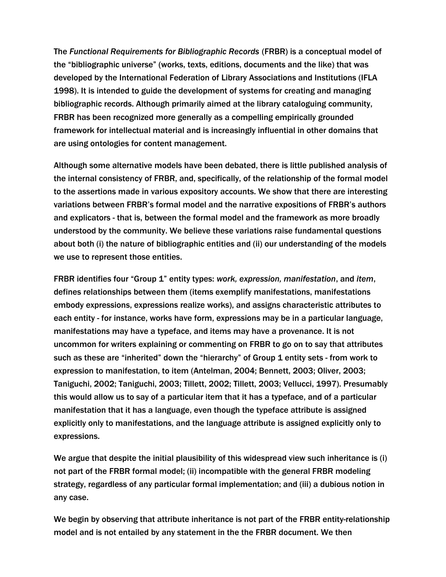The *Functional Requirements for Bibliographic Records* (FRBR) is a conceptual model of the "bibliographic universe" (works, texts, editions, documents and the like) that was developed by the International Federation of Library Associations and Institutions (IFLA 1998). It is intended to guide the development of systems for creating and managing bibliographic records. Although primarily aimed at the library cataloguing community, FRBR has been recognized more generally as a compelling empirically grounded framework for intellectual material and is increasingly influential in other domains that are using ontologies for content management.

Although some alternative models have been debated, there is little published analysis of the internal consistency of FRBR, and, specifically, of the relationship of the formal model to the assertions made in various expository accounts. We show that there are interesting variations between FRBR's formal model and the narrative expositions of FRBR's authors and explicators - that is, between the formal model and the framework as more broadly understood by the community. We believe these variations raise fundamental questions about both (i) the nature of bibliographic entities and (ii) our understanding of the models we use to represent those entities.

FRBR identifies four "Group 1" entity types: *work, expression, manifestation*, and *item*, defines relationships between them (items exemplify manifestations, manifestations embody expressions, expressions realize works), and assigns characteristic attributes to each entity - for instance, works have form, expressions may be in a particular language, manifestations may have a typeface, and items may have a provenance. It is not uncommon for writers explaining or commenting on FRBR to go on to say that attributes such as these are "inherited" down the "hierarchy" of Group 1 entity sets - from work to expression to manifestation, to item (Antelman, 2004; Bennett, 2003; Oliver, 2003; Taniguchi, 2002; Taniguchi, 2003; Tillett, 2002; Tillett, 2003; Vellucci, 1997). Presumably this would allow us to say of a particular item that it has a typeface, and of a particular manifestation that it has a language, even though the typeface attribute is assigned explicitly only to manifestations, and the language attribute is assigned explicitly only to expressions.

We argue that despite the initial plausibility of this widespread view such inheritance is (i) not part of the FRBR formal model; (ii) incompatible with the general FRBR modeling strategy, regardless of any particular formal implementation; and (iii) a dubious notion in any case.

We begin by observing that attribute inheritance is not part of the FRBR entity-relationship model and is not entailed by any statement in the the FRBR document. We then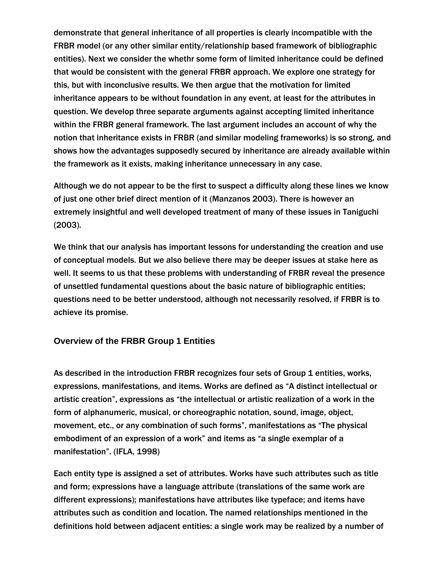demonstrate that general inheritance of all properties is clearly incompatible with the FRBR model (or any other similar entity/relationship based framework of bibliographic entities). Next we consider the whethr some form of limited inheritance could be defined that would be consistent with the general FRBR approach. We explore one strategy for this, but with inconclusive results. We then argue that the motivation for limited inheritance appears to be without foundation in any event, at least for the attributes in question. We develop three separate arguments against accepting limited inheritance within the FRBR general framework. The last argument includes an account of why the notion that inheritance exists in FRBR (and similar modeling frameworks) is so strong, and shows how the advantages supposedly secured by inheritance are already available within the framework as it exists, making inheritance unnecessary in any case.

Although we do not appear to be the first to suspect a difficulty along these lines we know of just one other brief direct mention of it (Manzanos 2003). There is however an extremely insightful and well developed treatment of many of these issues in Taniguchi (2003).

We think that our analysis has important lessons for understanding the creation and use of conceptual models. But we also believe there may be deeper issues at stake here as well. It seems to us that these problems with understanding of FRBR reveal the presence of unsettled fundamental questions about the basic nature of bibliographic entities; questions need to be better understood, although not necessarily resolved, if FRBR is to achieve its promise.

## **Overview of the FRBR Group 1 Entities**

As described in the introduction FRBR recognizes four sets of Group 1 entities, works, expressions, manifestations, and items. Works are defined as "A distinct intellectual or artistic creation", expressions as "the intellectual or artistic realization of a work in the form of alphanumeric, musical, or choreographic notation, sound, image, object, movement, etc., or any combination of such forms", manifestations as "The physical embodiment of an expression of a work" and items as "a single exemplar of a manifestation". (IFLA, 1998)

Each entity type is assigned a set of attributes. Works have such attributes such as title and form; expressions have a language attribute (translations of the same work are different expressions); manifestations have attributes like typeface; and items have attributes such as condition and location. The named relationships mentioned in the definitions hold between adjacent entities: a single work may be realized by a number of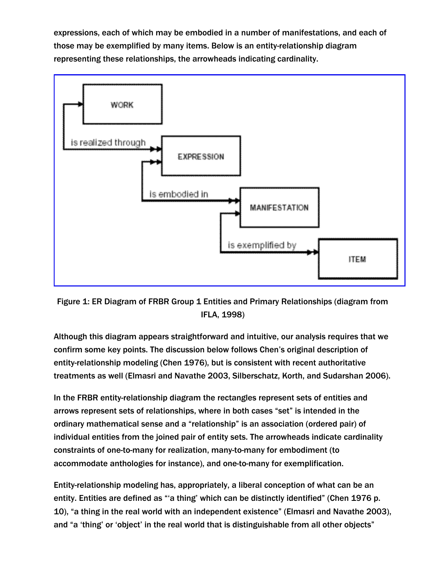expressions, each of which may be embodied in a number of manifestations, and each of those may be exemplified by many items. Below is an entity-relationship diagram representing these relationships, the arrowheads indicating cardinality.



Figure 1: ER Diagram of FRBR Group 1 Entities and Primary Relationships (diagram from IFLA, 1998)

Although this diagram appears straightforward and intuitive, our analysis requires that we confirm some key points. The discussion below follows Chen's original description of entity-relationship modeling (Chen 1976), but is consistent with recent authoritative treatments as well (Elmasri and Navathe 2003, Silberschatz, Korth, and Sudarshan 2006).

In the FRBR entity-relationship diagram the rectangles represent sets of entities and arrows represent sets of relationships, where in both cases "set" is intended in the ordinary mathematical sense and a "relationship" is an association (ordered pair) of individual entities from the joined pair of entity sets. The arrowheads indicate cardinality constraints of one-to-many for realization, many-to-many for embodiment (to accommodate anthologies for instance), and one-to-many for exemplification.

Entity-relationship modeling has, appropriately, a liberal conception of what can be an entity. Entities are defined as "'a thing' which can be distinctly identified" (Chen 1976 p. 10), "a thing in the real world with an independent existence" (Elmasri and Navathe 2003), and "a 'thing' or 'object' in the real world that is distinguishable from all other objects"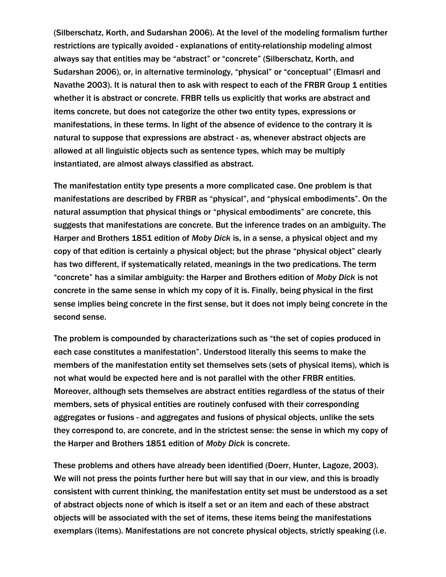(Silberschatz, Korth, and Sudarshan 2006). At the level of the modeling formalism further restrictions are typically avoided - explanations of entity-relationship modeling almost always say that entities may be "abstract" or "concrete" (Silberschatz, Korth, and Sudarshan 2006), or, in alternative terminology, "physical" or "conceptual" (Elmasri and Navathe 2003). It is natural then to ask with respect to each of the FRBR Group 1 entities whether it is abstract or concrete. FRBR tells us explicitly that works are abstract and items concrete, but does not categorize the other two entity types, expressions or manifestations, in these terms. In light of the absence of evidence to the contrary it is natural to suppose that expressions are abstract - as, whenever abstract objects are allowed at all linguistic objects such as sentence types, which may be multiply instantiated, are almost always classified as abstract.

The manifestation entity type presents a more complicated case. One problem is that manifestations are described by FRBR as "physical", and "physical embodiments". On the natural assumption that physical things or "physical embodiments" are concrete, this suggests that manifestations are concrete. But the inference trades on an ambiguity. The Harper and Brothers 1851 edition of *Moby Dick* is, in a sense, a physical object and my copy of that edition is certainly a physical object; but the phrase "physical object" clearly has two different, if systematically related, meanings in the two predications. The term "concrete" has a similar ambiguity: the Harper and Brothers edition of *Moby Dick* is not concrete in the same sense in which my copy of it is. Finally, being physical in the first sense implies being concrete in the first sense, but it does not imply being concrete in the second sense.

The problem is compounded by characterizations such as "the set of copies produced in each case constitutes a manifestation". Understood literally this seems to make the members of the manifestation entity set themselves sets (sets of physical items), which is not what would be expected here and is not parallel with the other FRBR entities. Moreover, although sets themselves are abstract entities regardless of the status of their members, sets of physical entities are routinely confused with their corresponding aggregates or fusions - and aggregates and fusions of physical objects, unlike the sets they correspond to, are concrete, and in the strictest sense: the sense in which my copy of the Harper and Brothers 1851 edition of *Moby Dick* is concrete.

These problems and others have already been identified (Doerr, Hunter, Lagoze, 2003). We will not press the points further here but will say that in our view, and this is broadly consistent with current thinking, the manifestation entity set must be understood as a set of abstract objects none of which is itself a set or an item and each of these abstract objects will be associated with the set of items, these items being the manifestations exemplars (items). Manifestations are not concrete physical objects, strictly speaking (i.e.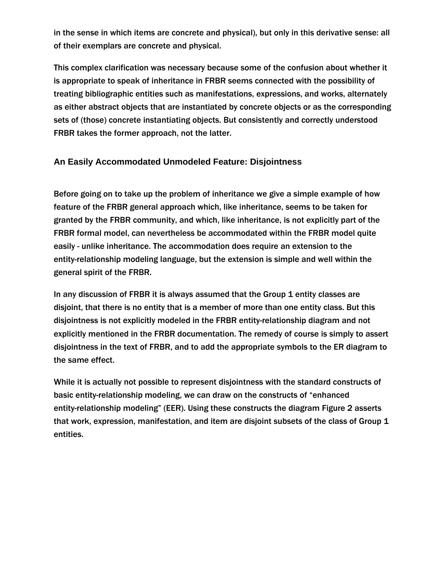in the sense in which items are concrete and physical), but only in this derivative sense: all of their exemplars are concrete and physical.

This complex clarification was necessary because some of the confusion about whether it is appropriate to speak of inheritance in FRBR seems connected with the possibility of treating bibliographic entities such as manifestations, expressions, and works, alternately as either abstract objects that are instantiated by concrete objects or as the corresponding sets of (those) concrete instantiating objects. But consistently and correctly understood FRBR takes the former approach, not the latter.

## **An Easily Accommodated Unmodeled Feature: Disjointness**

Before going on to take up the problem of inheritance we give a simple example of how feature of the FRBR general approach which, like inheritance, seems to be taken for granted by the FRBR community, and which, like inheritance, is not explicitly part of the FRBR formal model, can nevertheless be accommodated within the FRBR model quite easily - unlike inheritance. The accommodation does require an extension to the entity-relationship modeling language, but the extension is simple and well within the general spirit of the FRBR.

In any discussion of FRBR it is always assumed that the Group 1 entity classes are disjoint, that there is no entity that is a member of more than one entity class. But this disjointness is not explicitly modeled in the FRBR entity-relationship diagram and not explicitly mentioned in the FRBR documentation. The remedy of course is simply to assert disjointness in the text of FRBR, and to add the appropriate symbols to the ER diagram to the same effect.

While it is actually not possible to represent disjointness with the standard constructs of basic entity-relationship modeling, we can draw on the constructs of "enhanced entity-relationship modeling" (EER). Using these constructs the diagram Figure 2 asserts that work, expression, manifestation, and item are disjoint subsets of the class of Group 1 entities.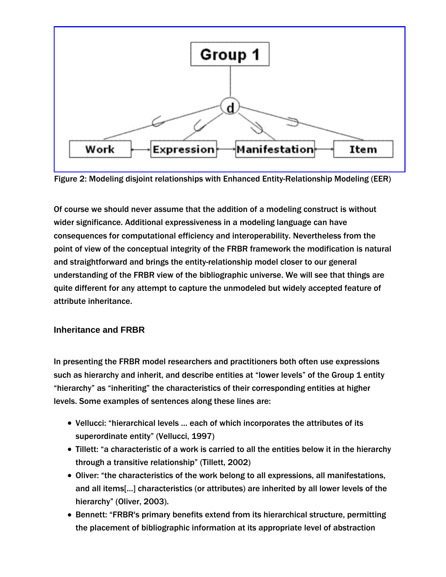

Figure 2: Modeling disjoint relationships with Enhanced Entity-Relationship Modeling (EER)

Of course we should never assume that the addition of a modeling construct is without wider significance. Additional expressiveness in a modeling language can have consequences for computational efficiency and interoperability. Nevertheless from the point of view of the conceptual integrity of the FRBR framework the modification is natural and straightforward and brings the entity-relationship model closer to our general understanding of the FRBR view of the bibliographic universe. We will see that things are quite different for any attempt to capture the unmodeled but widely accepted feature of attribute inheritance.

## **Inheritance and FRBR**

In presenting the FRBR model researchers and practitioners both often use expressions such as hierarchy and inherit, and describe entities at "lower levels" of the Group 1 entity "hierarchy" as "inheriting" the characteristics of their corresponding entities at higher levels. Some examples of sentences along these lines are:

- Vellucci: "hierarchical levels … each of which incorporates the attributes of its superordinate entity" (Vellucci, 1997)
- Tillett: "a characteristic of a work is carried to all the entities below it in the hierarchy through a transitive relationship" (Tillett, 2002)
- Oliver: "the characteristics of the work belong to all expressions, all manifestations, and all items[…] characteristics (or attributes) are inherited by all lower levels of the hierarchy" (Oliver, 2003).
- Bennett: "FRBR's primary benefits extend from its hierarchical structure, permitting the placement of bibliographic information at its appropriate level of abstraction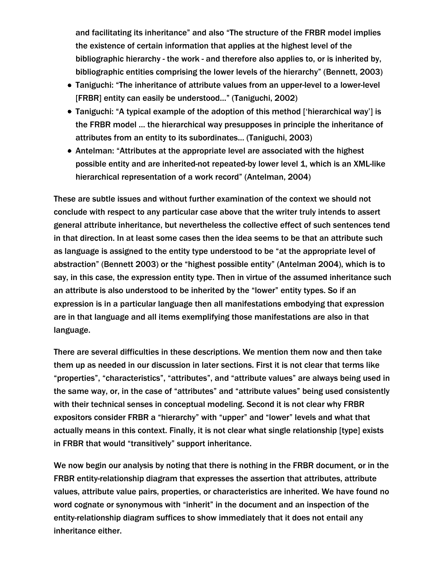and facilitating its inheritance" and also "The structure of the FRBR model implies the existence of certain information that applies at the highest level of the bibliographic hierarchy - the work - and therefore also applies to, or is inherited by, bibliographic entities comprising the lower levels of the hierarchy" (Bennett, 2003)

- Taniguchi: "The inheritance of attribute values from an upper-level to a lower-level [FRBR] entity can easily be understood…" (Taniguchi, 2002)
- Taniguchi: "A typical example of the adoption of this method ['hierarchical way'] is the FRBR model … the hierarchical way presupposes in principle the inheritance of attributes from an entity to its subordinates… (Taniguchi, 2003)
- Antelman: "Attributes at the appropriate level are associated with the highest possible entity and are inherited-not repeated-by lower level 1, which is an XML-like hierarchical representation of a work record" (Antelman, 2004)

These are subtle issues and without further examination of the context we should not conclude with respect to any particular case above that the writer truly intends to assert general attribute inheritance, but nevertheless the collective effect of such sentences tend in that direction. In at least some cases then the idea seems to be that an attribute such as language is assigned to the entity type understood to be "at the appropriate level of abstraction" (Bennett 2003) or the "highest possible entity" (Antelman 2004), which is to say, in this case, the expression entity type. Then in virtue of the assumed inheritance such an attribute is also understood to be inherited by the "lower" entity types. So if an expression is in a particular language then all manifestations embodying that expression are in that language and all items exemplifying those manifestations are also in that language.

There are several difficulties in these descriptions. We mention them now and then take them up as needed in our discussion in later sections. First it is not clear that terms like "properties", "characteristics", "attributes", and "attribute values" are always being used in the same way, or, in the case of "attributes" and "attribute values" being used consistently with their technical senses in conceptual modeling. Second it is not clear why FRBR expositors consider FRBR a "hierarchy" with "upper" and "lower" levels and what that actually means in this context. Finally, it is not clear what single relationship [type] exists in FRBR that would "transitively" support inheritance.

We now begin our analysis by noting that there is nothing in the FRBR document, or in the FRBR entity-relationship diagram that expresses the assertion that attributes, attribute values, attribute value pairs, properties, or characteristics are inherited. We have found no word cognate or synonymous with "inherit" in the document and an inspection of the entity-relationship diagram suffices to show immediately that it does not entail any inheritance either.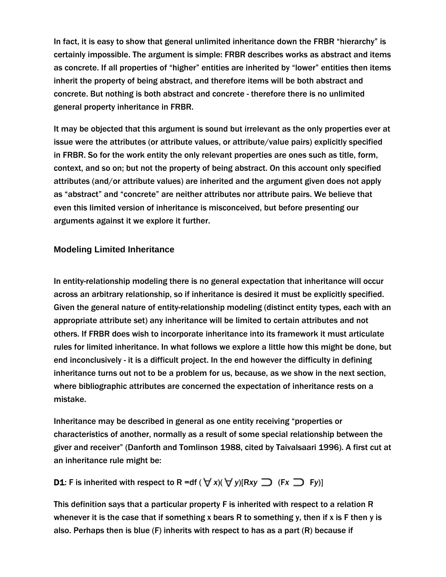In fact, it is easy to show that general unlimited inheritance down the FRBR "hierarchy" is certainly impossible. The argument is simple: FRBR describes works as abstract and items as concrete. If all properties of "higher" entities are inherited by "lower" entities then items inherit the property of being abstract, and therefore items will be both abstract and concrete. But nothing is both abstract and concrete - therefore there is no unlimited general property inheritance in FRBR.

It may be objected that this argument is sound but irrelevant as the only properties ever at issue were the attributes (or attribute values, or attribute/value pairs) explicitly specified in FRBR. So for the work entity the only relevant properties are ones such as title, form, context, and so on; but not the property of being abstract. On this account only specified attributes (and/or attribute values) are inherited and the argument given does not apply as "abstract" and "concrete" are neither attributes nor attribute pairs. We believe that even this limited version of inheritance is misconceived, but before presenting our arguments against it we explore it further.

## **Modeling Limited Inheritance**

In entity-relationship modeling there is no general expectation that inheritance will occur across an arbitrary relationship, so if inheritance is desired it must be explicitly specified. Given the general nature of entity-relationship modeling (distinct entity types, each with an appropriate attribute set) any inheritance will be limited to certain attributes and not others. If FRBR does wish to incorporate inheritance into its framework it must articulate rules for limited inheritance. In what follows we explore a little how this might be done, but end inconclusively - it is a difficult project. In the end however the difficulty in defining inheritance turns out not to be a problem for us, because, as we show in the next section, where bibliographic attributes are concerned the expectation of inheritance rests on a mistake.

Inheritance may be described in general as one entity receiving "properties or characteristics of another, normally as a result of some special relationship between the giver and receiver" (Danforth and Tomlinson 1988, cited by Taivalsaari 1996). A first cut at an inheritance rule might be:

## **D1:** F is inherited with respect to R =df  $(\forall x)(\forall y)[Rxy \rightharpoonup (Fx \rightharpoonup Fy)]$

This definition says that a particular property F is inherited with respect to a relation R whenever it is the case that if something x bears R to something y, then if x is F then y is also. Perhaps then is blue (F) inherits with respect to has as a part (R) because if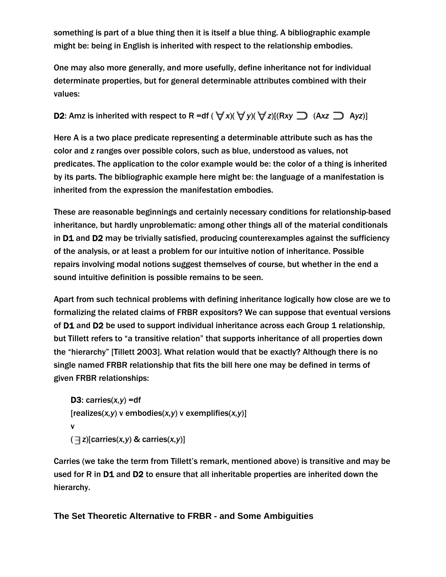something is part of a blue thing then it is itself a blue thing. A bibliographic example might be: being in English is inherited with respect to the relationship embodies.

One may also more generally, and more usefully, define inheritance not for individual determinate properties, but for general determinable attributes combined with their values:

## **D2:** Amz is inherited with respect to R =df  $(\forall x)(\forall y)(\forall z)[(Rxy \rightharpoonup (Axz \rightharpoonup Ayz)]$

Here A is a two place predicate representing a determinable attribute such as has the color and z ranges over possible colors, such as blue, understood as values, not predicates. The application to the color example would be: the color of a thing is inherited by its parts. The bibliographic example here might be: the language of a manifestation is inherited from the expression the manifestation embodies.

These are reasonable beginnings and certainly necessary conditions for relationship-based inheritance, but hardly unproblematic: among other things all of the material conditionals in  $D1$  and  $D2$  may be trivially satisfied, producing counterexamples against the sufficiency of the analysis, or at least a problem for our intuitive notion of inheritance. Possible repairs involving modal notions suggest themselves of course, but whether in the end a sound intuitive definition is possible remains to be seen.

Apart from such technical problems with defining inheritance logically how close are we to formalizing the related claims of FRBR expositors? We can suppose that eventual versions of D1 and D2 be used to support individual inheritance across each Group 1 relationship, but Tillett refers to "a transitive relation" that supports inheritance of all properties down the "hierarchy" [Tillett 2003]. What relation would that be exactly? Although there is no single named FRBR relationship that fits the bill here one may be defined in terms of given FRBR relationships:

```
D3: carries(x,y) =df
[realizes(x,y) v embodies(x,y) v exemplifies(x,y)] 
v 
(\exists z)[carries(x,y) & carries(x,y)]
```
Carries (we take the term from Tillett's remark, mentioned above) is transitive and may be used for R in D1 and D2 to ensure that all inheritable properties are inherited down the hierarchy.

**The Set Theoretic Alternative to FRBR - and Some Ambiguities**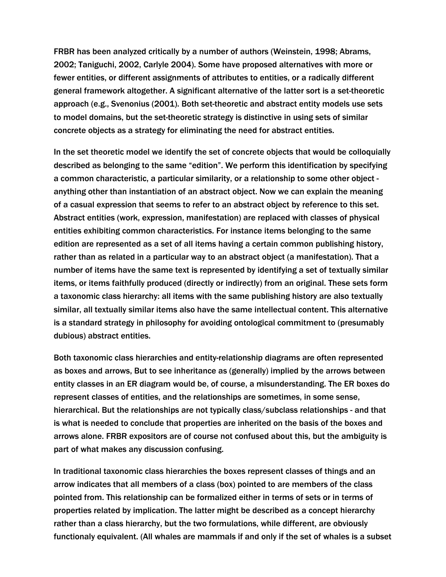FRBR has been analyzed critically by a number of authors (Weinstein, 1998; Abrams, 2002; Taniguchi, 2002, Carlyle 2004). Some have proposed alternatives with more or fewer entities, or different assignments of attributes to entities, or a radically different general framework altogether. A significant alternative of the latter sort is a set-theoretic approach (e.g., Svenonius (2001). Both set-theoretic and abstract entity models use sets to model domains, but the set-theoretic strategy is distinctive in using sets of similar concrete objects as a strategy for eliminating the need for abstract entities.

In the set theoretic model we identify the set of concrete objects that would be colloquially described as belonging to the same "edition". We perform this identification by specifying a common characteristic, a particular similarity, or a relationship to some other object anything other than instantiation of an abstract object. Now we can explain the meaning of a casual expression that seems to refer to an abstract object by reference to this set. Abstract entities (work, expression, manifestation) are replaced with classes of physical entities exhibiting common characteristics. For instance items belonging to the same edition are represented as a set of all items having a certain common publishing history, rather than as related in a particular way to an abstract object (a manifestation). That a number of items have the same text is represented by identifying a set of textually similar items, or items faithfully produced (directly or indirectly) from an original. These sets form a taxonomic class hierarchy: all items with the same publishing history are also textually similar, all textually similar items also have the same intellectual content. This alternative is a standard strategy in philosophy for avoiding ontological commitment to (presumably dubious) abstract entities.

Both taxonomic class hierarchies and entity-relationship diagrams are often represented as boxes and arrows, But to see inheritance as (generally) implied by the arrows between entity classes in an ER diagram would be, of course, a misunderstanding. The ER boxes do represent classes of entities, and the relationships are sometimes, in some sense, hierarchical. But the relationships are not typically class/subclass relationships - and that is what is needed to conclude that properties are inherited on the basis of the boxes and arrows alone. FRBR expositors are of course not confused about this, but the ambiguity is part of what makes any discussion confusing.

In traditional taxonomic class hierarchies the boxes represent classes of things and an arrow indicates that all members of a class (box) pointed to are members of the class pointed from. This relationship can be formalized either in terms of sets or in terms of properties related by implication. The latter might be described as a concept hierarchy rather than a class hierarchy, but the two formulations, while different, are obviously functionaly equivalent. (All whales are mammals if and only if the set of whales is a subset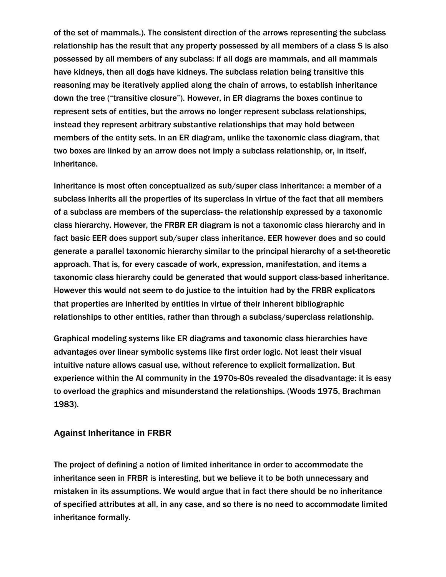of the set of mammals.). The consistent direction of the arrows representing the subclass relationship has the result that any property possessed by all members of a class S is also possessed by all members of any subclass: if all dogs are mammals, and all mammals have kidneys, then all dogs have kidneys. The subclass relation being transitive this reasoning may be iteratively applied along the chain of arrows, to establish inheritance down the tree ("transitive closure"). However, in ER diagrams the boxes continue to represent sets of entities, but the arrows no longer represent subclass relationships, instead they represent arbitrary substantive relationships that may hold between members of the entity sets. In an ER diagram, unlike the taxonomic class diagram, that two boxes are linked by an arrow does not imply a subclass relationship, or, in itself, inheritance.

Inheritance is most often conceptualized as sub/super class inheritance: a member of a subclass inherits all the properties of its superclass in virtue of the fact that all members of a subclass are members of the superclass- the relationship expressed by a taxonomic class hierarchy. However, the FRBR ER diagram is not a taxonomic class hierarchy and in fact basic EER does support sub/super class inheritance. EER however does and so could generate a parallel taxonomic hierarchy similar to the principal hierarchy of a set-theoretic approach. That is, for every cascade of work, expression, manifestation, and items a taxonomic class hierarchy could be generated that would support class-based inheritance. However this would not seem to do justice to the intuition had by the FRBR explicators that properties are inherited by entities in virtue of their inherent bibliographic relationships to other entities, rather than through a subclass/superclass relationship.

Graphical modeling systems like ER diagrams and taxonomic class hierarchies have advantages over linear symbolic systems like first order logic. Not least their visual intuitive nature allows casual use, without reference to explicit formalization. But experience within the AI community in the 1970s-80s revealed the disadvantage: it is easy to overload the graphics and misunderstand the relationships. (Woods 1975, Brachman 1983).

## **Against Inheritance in FRBR**

The project of defining a notion of limited inheritance in order to accommodate the inheritance seen in FRBR is interesting, but we believe it to be both unnecessary and mistaken in its assumptions. We would argue that in fact there should be no inheritance of specified attributes at all, in any case, and so there is no need to accommodate limited inheritance formally.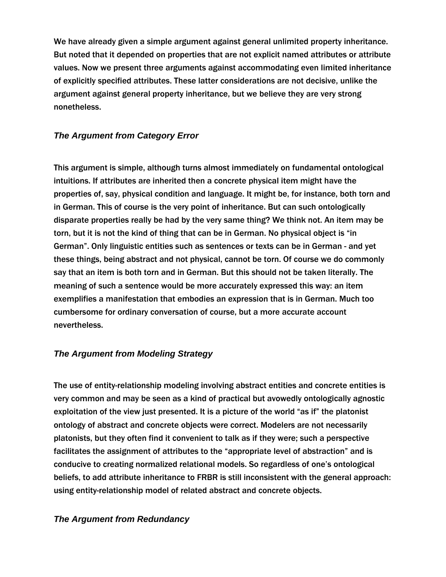We have already given a simple argument against general unlimited property inheritance. But noted that it depended on properties that are not explicit named attributes or attribute values. Now we present three arguments against accommodating even limited inheritance of explicitly specified attributes. These latter considerations are not decisive, unlike the argument against general property inheritance, but we believe they are very strong nonetheless.

## *The Argument from Category Error*

This argument is simple, although turns almost immediately on fundamental ontological intuitions. If attributes are inherited then a concrete physical item might have the properties of, say, physical condition and language. It might be, for instance, both torn and in German. This of course is the very point of inheritance. But can such ontologically disparate properties really be had by the very same thing? We think not. An item may be torn, but it is not the kind of thing that can be in German. No physical object is "in German". Only linguistic entities such as sentences or texts can be in German - and yet these things, being abstract and not physical, cannot be torn. Of course we do commonly say that an item is both torn and in German. But this should not be taken literally. The meaning of such a sentence would be more accurately expressed this way: an item exemplifies a manifestation that embodies an expression that is in German. Much too cumbersome for ordinary conversation of course, but a more accurate account nevertheless.

## *The Argument from Modeling Strategy*

The use of entity-relationship modeling involving abstract entities and concrete entities is very common and may be seen as a kind of practical but avowedly ontologically agnostic exploitation of the view just presented. It is a picture of the world "as if" the platonist ontology of abstract and concrete objects were correct. Modelers are not necessarily platonists, but they often find it convenient to talk as if they were; such a perspective facilitates the assignment of attributes to the "appropriate level of abstraction" and is conducive to creating normalized relational models. So regardless of one's ontological beliefs, to add attribute inheritance to FRBR is still inconsistent with the general approach: using entity-relationship model of related abstract and concrete objects.

## *The Argument from Redundancy*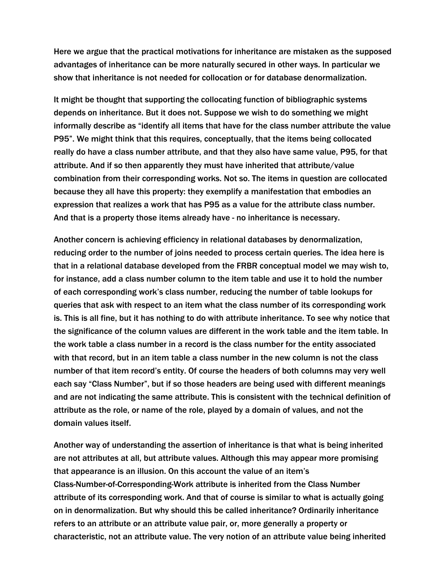Here we argue that the practical motivations for inheritance are mistaken as the supposed advantages of inheritance can be more naturally secured in other ways. In particular we show that inheritance is not needed for collocation or for database denormalization.

It might be thought that supporting the collocating function of bibliographic systems depends on inheritance. But it does not. Suppose we wish to do something we might informally describe as "identify all items that have for the class number attribute the value P95". We might think that this requires, conceptually, that the items being collocated really do have a class number attribute, and that they also have same value, P95, for that attribute. And if so then apparently they must have inherited that attribute/value combination from their corresponding works. Not so. The items in question are collocated because they all have this property: they exemplify a manifestation that embodies an expression that realizes a work that has P95 as a value for the attribute class number. And that is a property those items already have - no inheritance is necessary.

Another concern is achieving efficiency in relational databases by denormalization, reducing order to the number of joins needed to process certain queries. The idea here is that in a relational database developed from the FRBR conceptual model we may wish to, for instance, add a class number column to the item table and use it to hold the number of each corresponding work's class number, reducing the number of table lookups for queries that ask with respect to an item what the class number of its corresponding work is. This is all fine, but it has nothing to do with attribute inheritance. To see why notice that the significance of the column values are different in the work table and the item table. In the work table a class number in a record is the class number for the entity associated with that record, but in an item table a class number in the new column is not the class number of that item record's entity. Of course the headers of both columns may very well each say "Class Number", but if so those headers are being used with different meanings and are not indicating the same attribute. This is consistent with the technical definition of attribute as the role, or name of the role, played by a domain of values, and not the domain values itself.

Another way of understanding the assertion of inheritance is that what is being inherited are not attributes at all, but attribute values. Although this may appear more promising that appearance is an illusion. On this account the value of an item's Class-Number-of-Corresponding-Work attribute is inherited from the Class Number attribute of its corresponding work. And that of course is similar to what is actually going on in denormalization. But why should this be called inheritance? Ordinarily inheritance refers to an attribute or an attribute value pair, or, more generally a property or characteristic, not an attribute value. The very notion of an attribute value being inherited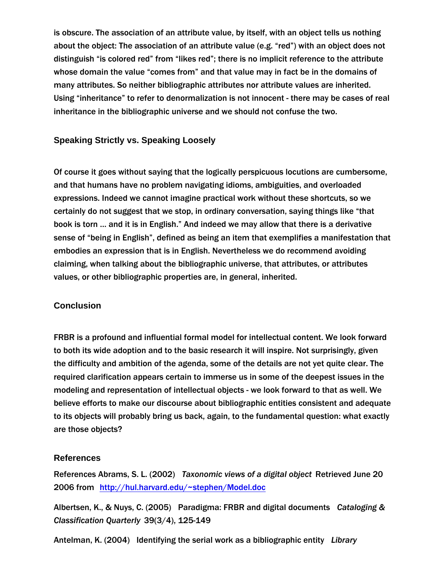is obscure. The association of an attribute value, by itself, with an object tells us nothing about the object: The association of an attribute value (e.g. "red") with an object does not distinguish "is colored red" from "likes red"; there is no implicit reference to the attribute whose domain the value "comes from" and that value may in fact be in the domains of many attributes. So neither bibliographic attributes nor attribute values are inherited. Using "inheritance" to refer to denormalization is not innocent - there may be cases of real inheritance in the bibliographic universe and we should not confuse the two.

### **Speaking Strictly vs. Speaking Loosely**

Of course it goes without saying that the logically perspicuous locutions are cumbersome, and that humans have no problem navigating idioms, ambiguities, and overloaded expressions. Indeed we cannot imagine practical work without these shortcuts, so we certainly do not suggest that we stop, in ordinary conversation, saying things like "that book is torn … and it is in English." And indeed we may allow that there is a derivative sense of "being in English", defined as being an item that exemplifies a manifestation that embodies an expression that is in English. Nevertheless we do recommend avoiding claiming, when talking about the bibliographic universe, that attributes, or attributes values, or other bibliographic properties are, in general, inherited.

#### **Conclusion**

FRBR is a profound and influential formal model for intellectual content. We look forward to both its wide adoption and to the basic research it will inspire. Not surprisingly, given the difficulty and ambition of the agenda, some of the details are not yet quite clear. The required clarification appears certain to immerse us in some of the deepest issues in the modeling and representation of intellectual objects - we look forward to that as well. We believe efforts to make our discourse about bibliographic entities consistent and adequate to its objects will probably bring us back, again, to the fundamental question: what exactly are those objects?

#### **References**

References Abrams, S. L. (2002) *Taxonomic views of a digital object* Retrieved June 20 2006 from http://hul.harvard.edu/~stephen/Model.doc

Albertsen, K., & Nuys, C. (2005) Paradigma: FRBR and digital documents *Cataloging & Classification Quarterly* 39(3/4), 125-149

Antelman, K. (2004) Identifying the serial work as a bibliographic entity *Library*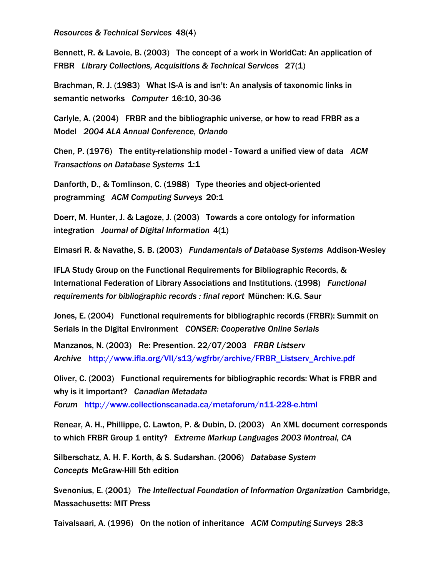*Resources & Technical Services* 48(4)

Bennett, R. & Lavoie, B. (2003) The concept of a work in WorldCat: An application of FRBR *Library Collections, Acquisitions & Technical Services* 27(1)

Brachman, R. J. (1983) What IS-A is and isn't: An analysis of taxonomic links in semantic networks *Computer* 16:10, 30-36

Carlyle, A. (2004) FRBR and the bibliographic universe, or how to read FRBR as a Model *2004 ALA Annual Conference, Orlando*

Chen, P. (1976) The entity-relationship model - Toward a unified view of data *ACM Transactions on Database Systems* 1:1

Danforth, D., & Tomlinson, C. (1988) Type theories and object-oriented programming *ACM Computing Surveys* 20:1

Doerr, M. Hunter, J. & Lagoze, J. (2003) Towards a core ontology for information integration *Journal of Digital Information* 4(1)

Elmasri R. & Navathe, S. B. (2003) *Fundamentals of Database Systems* Addison-Wesley

IFLA Study Group on the Functional Requirements for Bibliographic Records, & International Federation of Library Associations and Institutions. (1998) *Functional requirements for bibliographic records : final report* München: K.G. Saur

Jones, E. (2004) Functional requirements for bibliographic records (FRBR): Summit on Serials in the Digital Environment *CONSER: Cooperative Online Serials*

Manzanos, N. (2003) Re: Presention. 22/07/2003 *FRBR Listserv Archive* http://www.ifla.org/VII/s13/wgfrbr/archive/FRBR\_Listserv\_Archive.pdf

Oliver, C. (2003) Functional requirements for bibliographic records: What is FRBR and why is it important? *Canadian Metadata*

*Forum* http://www.collectionscanada.ca/metaforum/n11-228-e.html

Renear, A. H., Phillippe, C. Lawton, P. & Dubin, D. (2003) An XML document corresponds to which FRBR Group 1 entity? *Extreme Markup Languages 2003 Montreal, CA*

Silberschatz, A. H. F. Korth, & S. Sudarshan. (2006) *Database System Concepts* McGraw-Hill 5th edition

Svenonius, E. (2001) *The Intellectual Foundation of Information Organization* Cambridge, Massachusetts: MIT Press

Taivalsaari, A. (1996) On the notion of inheritance *ACM Computing Surveys* 28:3